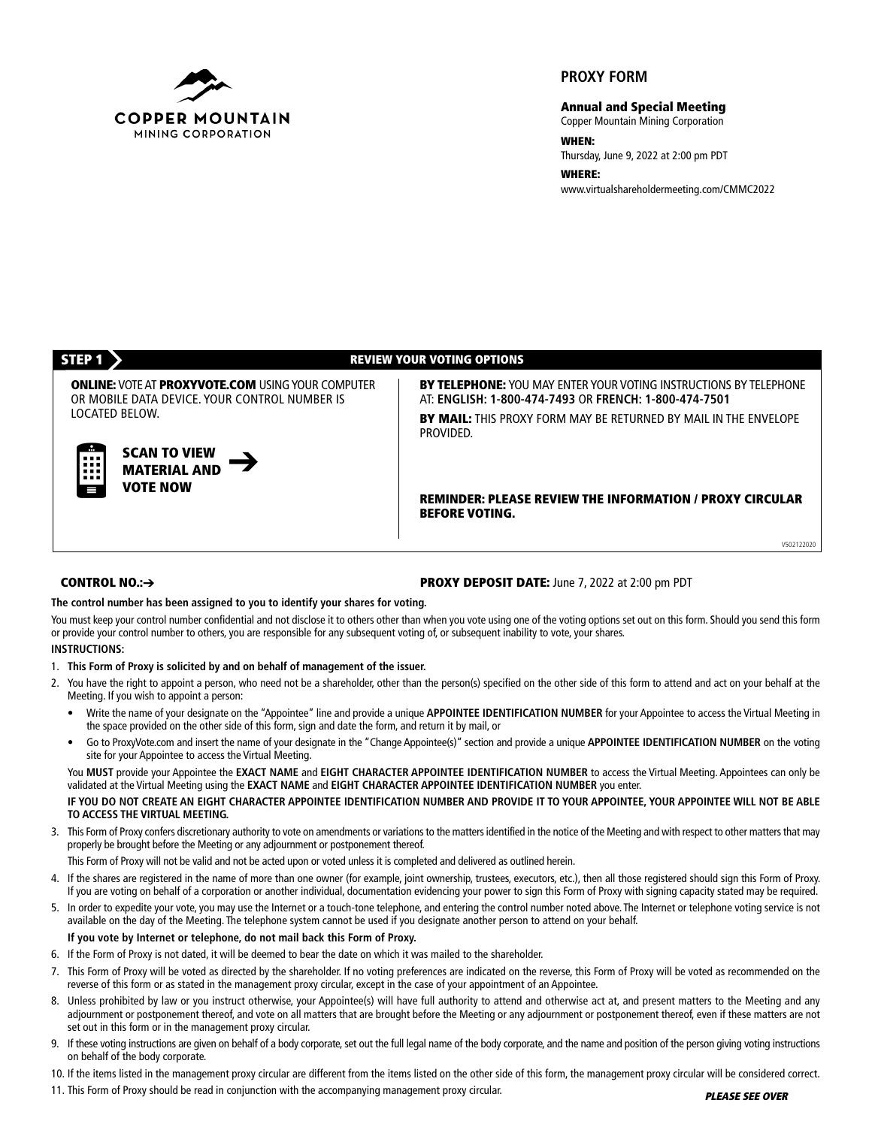

# **PROXY FORM**

**Annual and Special Meeting**

Copper Mountain Mining Corporation

**WHEN:**

Thursday, June 9, 2022 at 2:00 pm PDT

**WHERE:** www.virtualshareholdermeeting.com/CMMC2022

## **STEP 1 REVIEW YOUR VOTING OPTIONS**

**ONLINE:** VOTEAT **PROXYVOTE.COM** USINGYOUR COMPUTER OR MOBILE DATA DEVICE. YOUR CONTROL NUMBER IS LOCATED BELOW.

> **SCAN TO VIEW MATERIAL AND VOTE NOW**

**BY TELEPHONE:** YOU MAY ENTER YOUR VOTING INSTRUCTIONS BY TELEPHONE AT: **ENGLISH: 1-800-474-7493** OR **FRENCH: 1-800-474-7501**

**BY MAIL:** THIS PROXY FORM MAY BE RETURNED BY MAIL IN THE ENVELOPE PROVIDED.

**REMINDER: PLEASE REVIEW THE INFORMATION / PROXY CIRCULAR BEFORE VOTING.**

V502122020

## **CONTROL NO.:**➔

#### **PROXY DEPOSIT DATE:** June 7, 2022 at 2:00 pm PDT

**The control number has been assigned to you to identify your shares for voting.**

You must keep your control number confidential and not disclose it to others other than when you vote using one of the voting options set out on this form. Should you send this form or provide your control number to others, you are responsible for any subsequent voting of, or subsequent inability to vote, your shares.

#### **INSTRUCTIONS:**

- 1. **This Form of Proxy is solicited by and on behalf of management of the issuer.**
- 2. You have the right to appoint a person, who need not be a shareholder, other than the person(s) specified on the other side of this form to attend and act on your behalf at the Meeting. If you wish to appoint a person:
	- Write the name of your designate on the "Appointee" line and provide a unique **APPOINTEE IDENTIFICATION NUMBER** for your Appointee to access the Virtual Meeting in the space provided on the other side of this form, sign and date the form, and return it by mail, or
	- Go to ProxyVote.com and insert the name of your designate in the "Change Appointee(s)" section and provide a unique **APPOINTEE IDENTIFICATION NUMBER** on the voting site for your Appointee to access the Virtual Meeting.

You **MUST** provide your Appointee the **EXACT NAME** and **EIGHT CHARACTER APPOINTEE IDENTIFICATION NUMBER** to access the Virtual Meeting. Appointees can only be validated at the Virtual Meeting using the **EXACT NAME** and **EIGHT CHARACTER APPOINTEE IDENTIFICATION NUMBER** you enter.

## IF YOU DO NOT CREATE AN EIGHT CHARACTER APPOINTEE IDENTIFICATION NUMBER AND PROVIDE IT TO YOUR APPOINTEE, YOUR APPOINTEE WILL NOT BE ABLE **TO ACCESS THE VIRTUAL MEETING.**

3. This Form of Proxy confers discretionary authority to vote on amendments or variations to the matters identified in the notice of the Meeting and with respect to other matters that may properly be brought before the Meeting or any adjournment or postponement thereof.

This Form of Proxy will not be valid and not be acted upon or voted unless it is completed and delivered as outlined herein.

- 4. If the shares are registered in the name of more than one owner (for example, joint ownership, trustees, executors, etc.), then all those registered should sign this Form of Proxy. If you are voting on behalf of a corporation or another individual, documentation evidencing your power to sign this Form of Proxy with signing capacity stated may be required.
- 5. In order to expedite your vote, you may use the Internet or a touch-tone telephone, and entering the control number noted above. The Internet or telephone voting service is not available on the day of the Meeting. The telephone system cannot be used if you designate another person to attend on your behalf.

# **If you vote by Internet or telephone, do not mail back this Form of Proxy.**

- 6. If the Form of Proxy is not dated, it will be deemed to bear the date on which it was mailed to the shareholder.
- 7. This Form of Proxy will be voted as directed by the shareholder. If no voting preferences are indicated on the reverse, this Form of Proxy will be voted as recommended on the reverse of this form or as stated in the management proxy circular, except in the case of your appointment of an Appointee.
- 8. Unless prohibited by law or you instruct otherwise, your Appointee(s) will have full authority to attend and otherwise act at, and present matters to the Meeting and any adjournment or postponement thereof, and vote on all matters that are brought before the Meeting or any adjournment or postponement thereof, even if these matters are not set out in this form or in the management proxy circular.
- 9. If these voting instructions are given on behalf of a body corporate, set out the full legal name of the body corporate, and the name and position of the person giving voting instructions on behalf of the body corporate.
- 10. If the items listed in the management proxy circular are different from the items listed on the other side of this form, the management proxy circular will be considered correct.
- 11. This Form of Proxy should be read in conjunction with the accompanying management proxy circular.